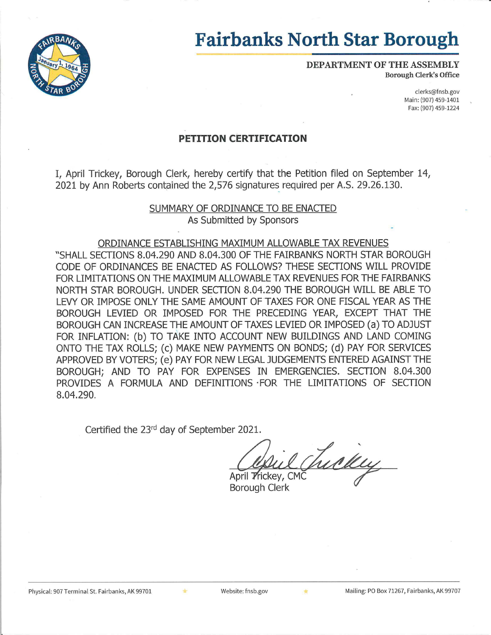

# **Fairbanks North Star Borough**

DEPARTMENT OF THE ASSEMBLY **Borough Clerk's Office** 

> clerks@fnsb.gov Main: (907) 459-1401 Fax: (907) 459-1224

# **PETITION CERTIFICATION**

I, April Trickey, Borough Clerk, hereby certify that the Petition filed on September 14, 2021 by Ann Roberts contained the 2,576 signatures required per A.S. 29.26.130.

## SUMMARY OF ORDINANCE TO BE ENACTED As Submitted by Sponsors

### ORDINANCE ESTABLISHING MAXIMUM ALLOWABLE TAX REVENUES

"SHALL SECTIONS 8.04.290 AND 8.04.300 OF THE FAIRBANKS NORTH STAR BOROUGH CODE OF ORDINANCES BE ENACTED AS FOLLOWS? THESE SECTIONS WILL PROVIDE FOR LIMITATIONS ON THE MAXIMUM ALLOWABLE TAX REVENUES FOR THE FAIRBANKS NORTH STAR BOROUGH, UNDER SECTION 8.04.290 THE BOROUGH WILL BE ABLE TO LEVY OR IMPOSE ONLY THE SAME AMOUNT OF TAXES FOR ONE FISCAL YEAR AS THE BOROUGH LEVIED OR IMPOSED FOR THE PRECEDING YEAR, EXCEPT THAT THE BOROUGH CAN INCREASE THE AMOUNT OF TAXES LEVIED OR IMPOSED (a) TO ADJUST FOR INFLATION: (b) TO TAKE INTO ACCOUNT NEW BUILDINGS AND LAND COMING ONTO THE TAX ROLLS; (c) MAKE NEW PAYMENTS ON BONDS; (d) PAY FOR SERVICES APPROVED BY VOTERS; (e) PAY FOR NEW LEGAL JUDGEMENTS ENTERED AGAINST THE BOROUGH; AND TO PAY FOR EXPENSES IN EMERGENCIES. SECTION 8.04.300 PROVIDES A FORMULA AND DEFINITIONS FOR THE LIMITATIONS OF SECTION 8.04.290.

Certified the 23rd day of September 2021.

Tuckly April *Trickey*, CMC

**Borough Clerk**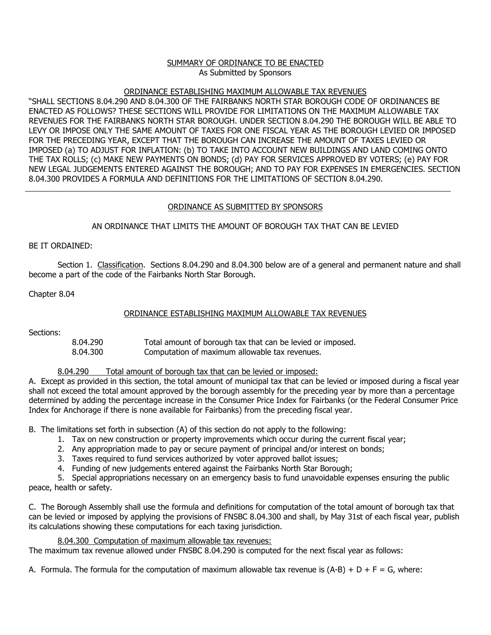#### SUMMARY OF ORDINANCE TO BE ENACTED As Submitted by Sponsors

#### ORDINANCE ESTABLISHING MAXIMUM ALLOWABLE TAX REVENUES

"SHALL SECTIONS 8.04.290 AND 8.04.300 OF THE FAIRBANKS NORTH STAR BOROUGH CODE OF ORDINANCES BE ENACTED AS FOLLOWS? THESE SECTIONS WILL PROVIDE FOR LIMITATIONS ON THE MAXIMUM ALLOWABLE TAX REVENUES FOR THE FAIRBANKS NORTH STAR BOROUGH. UNDER SECTION 8.04.290 THE BOROUGH WILL BE ABLE TO LEVY OR IMPOSE ONLY THE SAME AMOUNT OF TAXES FOR ONE FISCAL YEAR AS THE BOROUGH LEVIED OR IMPOSED FOR THE PRECEDING YEAR, EXCEPT THAT THE BOROUGH CAN INCREASE THE AMOUNT OF TAXES LEVIED OR IMPOSED (a) TO ADJUST FOR INFLATION: (b) TO TAKE INTO ACCOUNT NEW BUILDINGS AND LAND COMING ONTO THE TAX ROLLS; (c) MAKE NEW PAYMENTS ON BONDS; (d) PAY FOR SERVICES APPROVED BY VOTERS; (e) PAY FOR NEW LEGAL JUDGEMENTS ENTERED AGAINST THE BOROUGH; AND TO PAY FOR EXPENSES IN EMERGENCIES. SECTION 8.04.300 PROVIDES A FORMULA AND DEFINITIONS FOR THE LIMITATIONS OF SECTION 8.04.290.

## ORDINANCE AS SUBMITTED BY SPONSORS

\_\_\_\_\_\_\_\_\_\_\_\_\_\_\_\_\_\_\_\_\_\_\_\_\_\_\_\_\_\_\_\_\_\_\_\_\_\_\_\_\_\_\_\_\_\_\_\_\_\_\_\_\_\_\_\_\_\_\_\_\_\_\_\_\_\_\_\_\_\_\_\_\_\_\_\_\_\_\_\_\_\_\_\_\_\_\_\_\_\_\_\_\_\_\_\_\_\_\_\_\_\_\_\_\_\_\_\_

#### AN ORDINANCE THAT LIMITS THE AMOUNT OF BOROUGH TAX THAT CAN BE LEVIED

BE IT ORDAINED:

Section 1. Classification. Sections 8.04.290 and 8.04.300 below are of a general and permanent nature and shall become a part of the code of the Fairbanks North Star Borough.

Chapter 8.04

### ORDINANCE ESTABLISHING MAXIMUM ALLOWABLE TAX REVENUES

Sections:

8.04.290 Total amount of borough tax that can be levied or imposed.<br>8.04.300 Computation of maximum allowable tax revenues. Computation of maximum allowable tax revenues.

8.04.290 Total amount of borough tax that can be levied or imposed:

A. Except as provided in this section, the total amount of municipal tax that can be levied or imposed during a fiscal year shall not exceed the total amount approved by the borough assembly for the preceding year by more than a percentage determined by adding the percentage increase in the Consumer Price Index for Fairbanks (or the Federal Consumer Price Index for Anchorage if there is none available for Fairbanks) from the preceding fiscal year.

B. The limitations set forth in subsection (A) of this section do not apply to the following:

- 1. Tax on new construction or property improvements which occur during the current fiscal year;
- 2. Any appropriation made to pay or secure payment of principal and/or interest on bonds;
- 3. Taxes required to fund services authorized by voter approved ballot issues;
- 4. Funding of new judgements entered against the Fairbanks North Star Borough;

5. Special appropriations necessary on an emergency basis to fund unavoidable expenses ensuring the public peace, health or safety.

C. The Borough Assembly shall use the formula and definitions for computation of the total amount of borough tax that can be levied or imposed by applying the provisions of FNSBC 8.04.300 and shall, by May 31st of each fiscal year, publish its calculations showing these computations for each taxing jurisdiction.

8.04.300 Computation of maximum allowable tax revenues:

The maximum tax revenue allowed under FNSBC 8.04.290 is computed for the next fiscal year as follows:

A. Formula. The formula for the computation of maximum allowable tax revenue is  $(A-B) + D + F = G$ , where: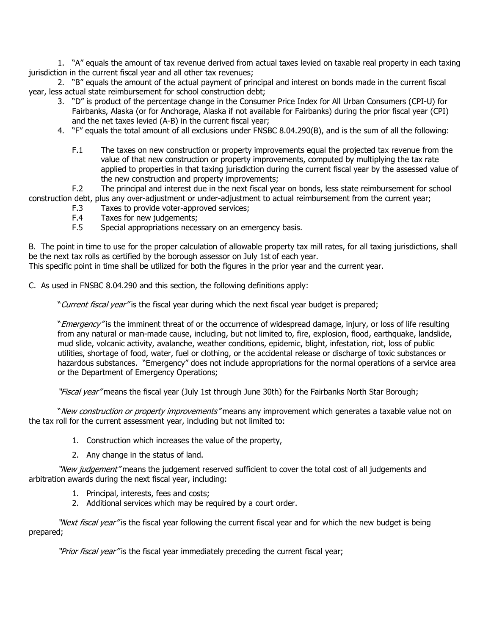1. "A" equals the amount of tax revenue derived from actual taxes levied on taxable real property in each taxing jurisdiction in the current fiscal year and all other tax revenues;

2. "B" equals the amount of the actual payment of principal and interest on bonds made in the current fiscal year, less actual state reimbursement for school construction debt;

- 3. "D" is product of the percentage change in the Consumer Price Index for All Urban Consumers (CPI-U) for Fairbanks, Alaska (or for Anchorage, Alaska if not available for Fairbanks) during the prior fiscal year (CPI) and the net taxes levied (A-B) in the current fiscal year;
- 4. "F" equals the total amount of all exclusions under FNSBC 8.04.290(B), and is the sum of all the following:
	- F.1 The taxes on new construction or property improvements equal the projected tax revenue from the value of that new construction or property improvements, computed by multiplying the tax rate applied to properties in that taxing jurisdiction during the current fiscal year by the assessed value of the new construction and property improvements;

F.2 The principal and interest due in the next fiscal year on bonds, less state reimbursement for school construction debt, plus any over-adjustment or under-adjustment to actual reimbursement from the current year;

- F.3 Taxes to provide voter-approved services;
- F.4 Taxes for new judgements;
- F.5 Special appropriations necessary on an emergency basis.

B. The point in time to use for the proper calculation of allowable property tax mill rates, for all taxing jurisdictions, shall be the next tax rolls as certified by the borough assessor on July 1st of each year. This specific point in time shall be utilized for both the figures in the prior year and the current year.

C. As used in FNSBC 8.04.290 and this section, the following definitions apply:

"Current fiscal year" is the fiscal year during which the next fiscal year budget is prepared;

"Emergency" is the imminent threat of or the occurrence of widespread damage, injury, or loss of life resulting from any natural or man-made cause, including, but not limited to, fire, explosion, flood, earthquake, landslide, mud slide, volcanic activity, avalanche, weather conditions, epidemic, blight, infestation, riot, loss of public utilities, shortage of food, water, fuel or clothing, or the accidental release or discharge of toxic substances or hazardous substances. "Emergency" does not include appropriations for the normal operations of a service area or the Department of Emergency Operations;

"Fiscal year" means the fiscal year (July 1st through June 30th) for the Fairbanks North Star Borough;

"New construction or property improvements" means any improvement which generates a taxable value not on the tax roll for the current assessment year, including but not limited to:

- 1. Construction which increases the value of the property,
- 2. Any change in the status of land.

"New judgement" means the judgement reserved sufficient to cover the total cost of all judgements and arbitration awards during the next fiscal year, including:

- 1. Principal, interests, fees and costs;
- 2. Additional services which may be required by a court order.

"Next fiscal year" is the fiscal year following the current fiscal year and for which the new budget is being prepared;

"Prior fiscal year" is the fiscal year immediately preceding the current fiscal year;